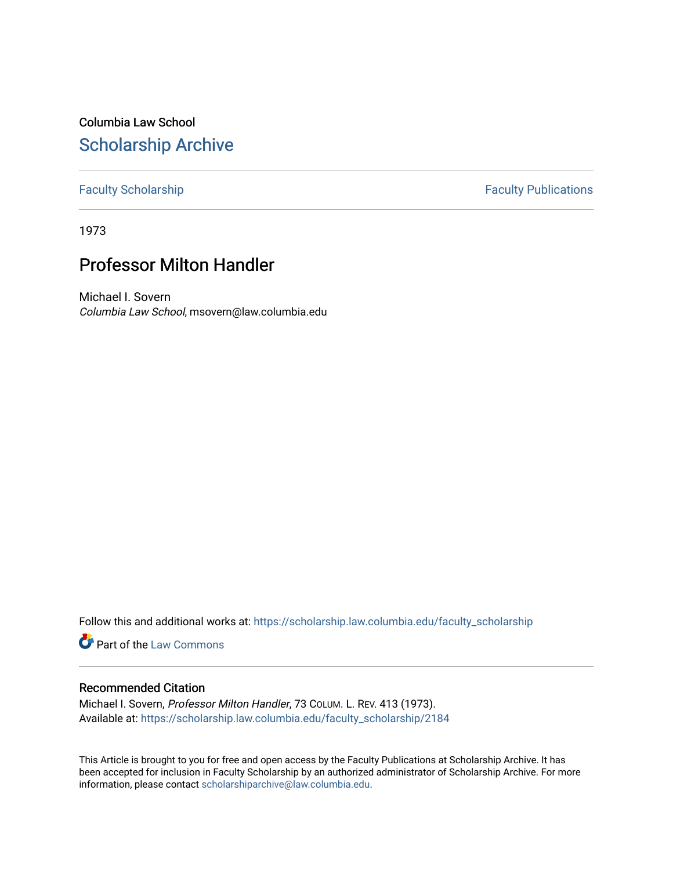Columbia Law School [Scholarship Archive](https://scholarship.law.columbia.edu/) 

## [Faculty Scholarship](https://scholarship.law.columbia.edu/faculty_scholarship) **Faculty Publications**

1973

## Professor Milton Handler

Michael I. Sovern Columbia Law School, msovern@law.columbia.edu

Follow this and additional works at: [https://scholarship.law.columbia.edu/faculty\\_scholarship](https://scholarship.law.columbia.edu/faculty_scholarship?utm_source=scholarship.law.columbia.edu%2Ffaculty_scholarship%2F2184&utm_medium=PDF&utm_campaign=PDFCoverPages)

**Part of the [Law Commons](http://network.bepress.com/hgg/discipline/578?utm_source=scholarship.law.columbia.edu%2Ffaculty_scholarship%2F2184&utm_medium=PDF&utm_campaign=PDFCoverPages)** 

## Recommended Citation

Michael I. Sovern, Professor Milton Handler, 73 COLUM. L. REV. 413 (1973). Available at: [https://scholarship.law.columbia.edu/faculty\\_scholarship/2184](https://scholarship.law.columbia.edu/faculty_scholarship/2184?utm_source=scholarship.law.columbia.edu%2Ffaculty_scholarship%2F2184&utm_medium=PDF&utm_campaign=PDFCoverPages)

This Article is brought to you for free and open access by the Faculty Publications at Scholarship Archive. It has been accepted for inclusion in Faculty Scholarship by an authorized administrator of Scholarship Archive. For more information, please contact [scholarshiparchive@law.columbia.edu.](mailto:scholarshiparchive@law.columbia.edu)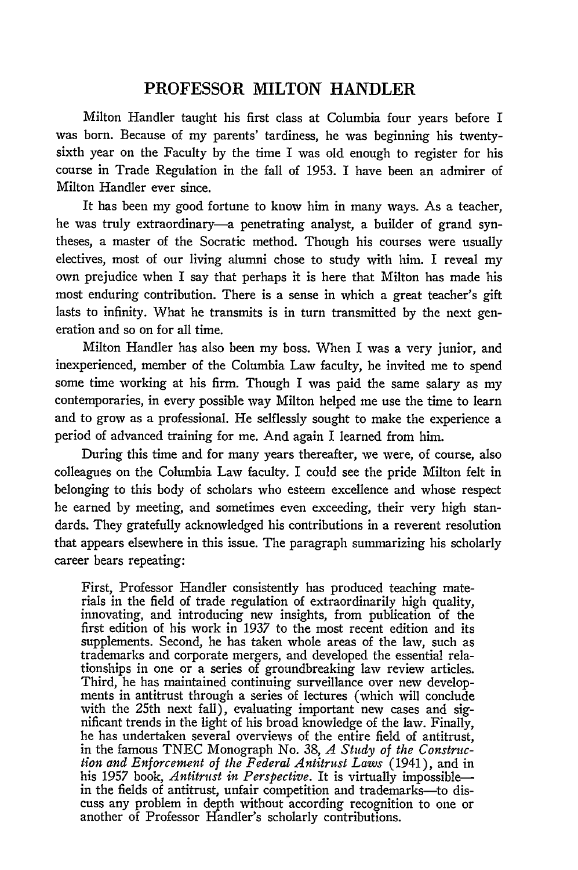## PROFESSOR **MILTON** HANDLER

Milton Handler taught his first class at Columbia four years before I was born. Because of my parents' tardiness, he was beginning his twentysixth year on the Faculty by the time I was old enough to register for his course in Trade Regulation in the fall of 1953. I have been an admirer of Milton Handler ever since.

It has been my good fortune to know him in many ways. As a teacher, he was truly extraordinary-a penetrating analyst, a builder of grand syntheses, a master of the Socratic method. Though his courses were usually electives, most of our living alumni chose to study with him. I reveal my own prejudice when I say that perhaps it is here that Milton has made his most enduring contribution. There is a sense in which a great teacher's gift lasts to infinity. What he transmits is in turn transmitted by the next generation and so on for all time.

Milton Handler has also been my boss. When I was a very junior, and inexperienced, member of the Columbia Law faculty, he invited me to spend some time working at his firm. Though I was paid the same salary as my contemporaries, in every possible way Milton helped me use the time to learn and to grow as a professional. He selflessly sought to make the experience a period of advanced training for me. And again I learned from him.

During this time and for many years thereafter, we were, of course, also colleagues on the Columbia Law faculty. I could see the pride Milton felt in belonging to this body of scholars who esteem excellence and whose respect he earned by meeting, and sometimes even exceeding, their very high standards. They gratefully acknowledged his contributions in a reverent resolution that appears elsewhere in this issue. The paragraph summarizing his scholarly career bears repeating:

First, Professor Handler consistently has produced teaching materials in the field of trade regulation of extraordinarily high quality, innovating, and introducing new insights, from publication of the first edition of his work in 1937 to the most recent edition and its supplements. Second, he has taken whole areas of the law, such as trademarks and corporate mergers, and developed the essential relationships in one or a series of groundbreaking law review articles. Third, he has maintained continuing surveillance over new developments in antitrust through a series of lectures (which will conclude with the 25th next fall), evaluating important new cases and significant trends in the light of his broad knowledge of the law. Finally, he has undertaken several overviews of the entire field of antitrust, in the famous TNEC Monograph No. 38, *A Study of the Construction and Enforcement of the Federal Antitrust Laws* (1941), and in his 1957 book, *Antitrust in Perspective.* It is virtually impossiblein the fields of antitrust, unfair competition and trademarks-to discuss any problem in depth without according recognition to one or another of Professor Handler's scholarly contributions.